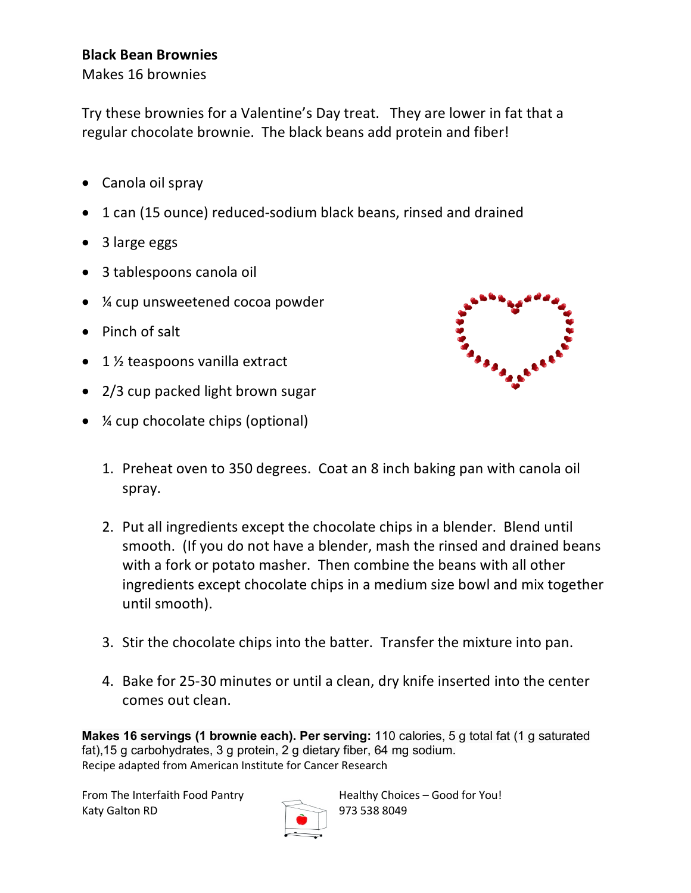## **Black Bean Brownies**

Makes 16 brownies

Try these brownies for a Valentine's Day treat. They are lower in fat that a regular chocolate brownie. The black beans add protein and fiber!

- Canola oil spray
- 1 can (15 ounce) reduced-sodium black beans, rinsed and drained
- 3 large eggs
- 3 tablespoons canola oil
- ¼ cup unsweetened cocoa powder
- Pinch of salt
- 1 1/2 teaspoons vanilla extract
- 2/3 cup packed light brown sugar
- *X* cup chocolate chips (optional)



- 1. Preheat oven to 350 degrees. Coat an 8 inch baking pan with canola oil spray.
- 2. Put all ingredients except the chocolate chips in a blender. Blend until smooth. (If you do not have a blender, mash the rinsed and drained beans with a fork or potato masher. Then combine the beans with all other ingredients except chocolate chips in a medium size bowl and mix together until smooth).
- 3. Stir the chocolate chips into the batter. Transfer the mixture into pan.
- 4. Bake for 25-30 minutes or until a clean, dry knife inserted into the center comes out clean.

**Makes 16 servings (1 brownie each). Per serving:** 110 calories, 5 g total fat (1 g saturated fat),15 g carbohydrates, 3 g protein, 2 g dietary fiber, 64 mg sodium. Recipe adapted from American Institute for Cancer Research

Katy Galton RD 973 538 8049



From The Interfaith Food Pantry **Health** Healthy Choices – Good for You!